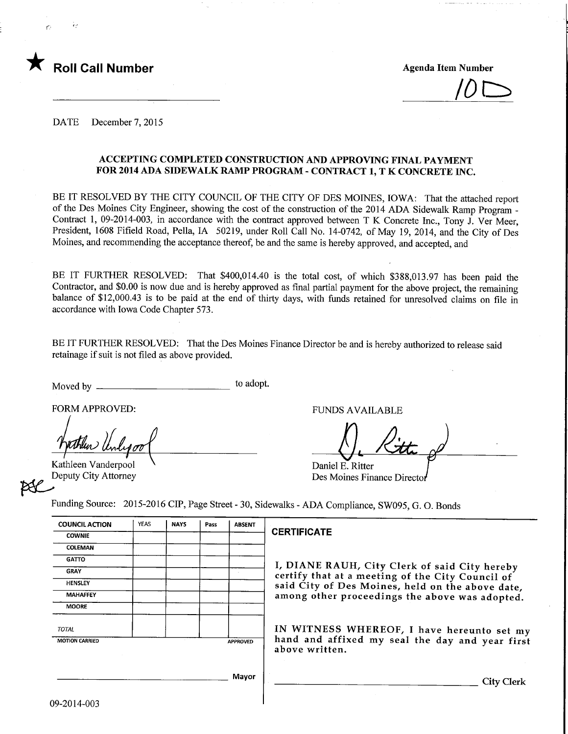

 $\overline{\mathcal{O}}$ 

DATE December 7, 2015

#### ACCEPTING COMPLETED CONSTRUCTION AND APPROVING FINAL PAYMENT FOR 2014 ADA SIDEWALK RAMP PROGRAM - CONTRACT 1, T K CONCRETE INC.

BE IT RESOLVED BY THE CITY COUNCIL OF THE CITY OF DES MOINES, IOWA: That the attached report of the Des Moines City Engineer, showing the cost of the construction of the 2014 ADA Sidewalk Ramp Program -Contract 1, 09-2014-003, in accordance with the contract approved between T K Concrete Inc., Tony J. Ver Meer, President, 1608 Fifield Road, Pella, IA 50219, under Roll Call No. 14-0742, of May 19, 2014, and the City of Des Moines, and recommending the acceptance thereof, be and the same is hereby approved, and accepted, and

BE IT FURTHER RESOLVED: That \$400,014.40 is the total cost, of which \$388,013.97 has been paid the Contractor, and \$0.00 is now due and is hereby approved as final partial payment for the above project, the remaining balance of \$12,000.43 is to be paid at the end of thirty days, with funds retained for unresolved claims on file in accordance with Iowa Code Chapter 573.

BE IT FURTHER RESOLVED: That the Des Moines Finance Director be and is hereby authorized to release said retainage if suit is not filed as above provided.

Moved by to adopt.

FORM APPROVED: THE PUNDS AVAILABLE

Kathleen Vanderpool Deputy City Attorney

Daniel E. Ritter Des Moines Finance Director

Funding Source: 2015-2016 CIP, Page Street - 30, Sidewalks - ADA Compliance, SW095, G. 0. Bonds

| <b>COUNCIL ACTION</b> | <b>YEAS</b> | <b>NAYS</b> | Pass | <b>ABSENT</b>   |                |
|-----------------------|-------------|-------------|------|-----------------|----------------|
| <b>COWNIE</b>         |             |             |      |                 | <b>CERT</b>    |
| COLEMAN               |             |             |      |                 |                |
| <b>GATTO</b>          |             |             |      |                 |                |
| <b>GRAY</b>           |             |             |      |                 | I, DI<br>certi |
| <b>HENSLEY</b>        |             |             |      |                 | said           |
| <b>MAHAFFEY</b>       |             |             |      |                 | amo:           |
| <b>MOORE</b>          |             |             |      |                 |                |
| <b>TOTAL</b>          |             |             |      |                 | INV            |
| <b>MOTION CARRIED</b> |             |             |      | <b>APPROVED</b> | hand<br>abov   |
|                       |             |             |      |                 |                |
|                       |             |             |      | Mayor           |                |
|                       |             |             |      |                 |                |

### **IFICATE**

IANE RAUH, City Clerk of said City hereby fy that at a meeting of the City Council of City of Des Moines, held on the above date, ng other proceedings the above was adopted.

IN WITNESS WHEREOF, I have hereunto set my d and affixed my seal the day and year first re written.

**City Clerk**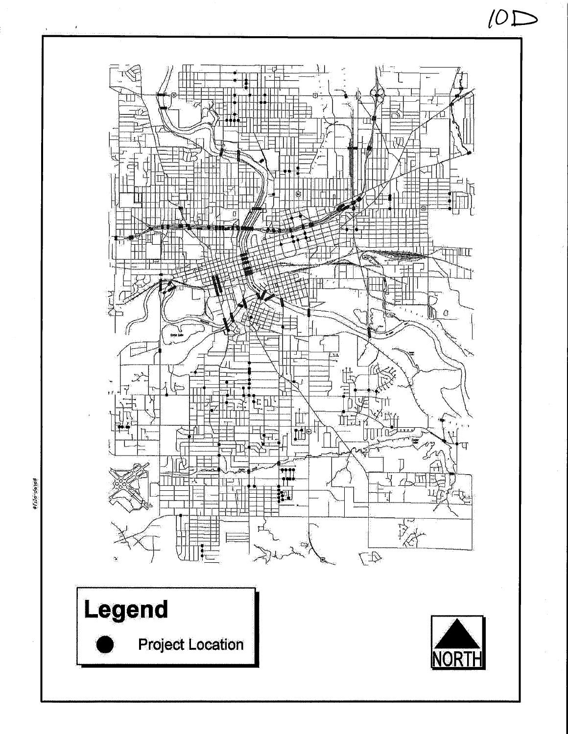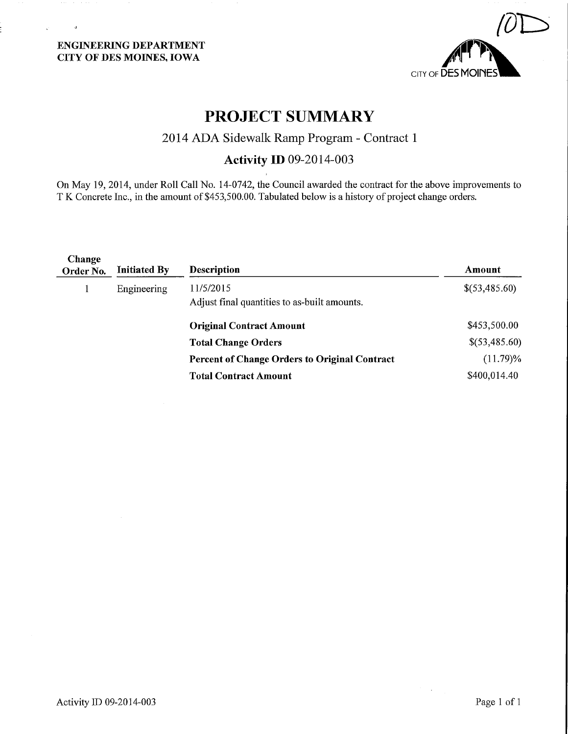$\overline{a}$ 



# PROJECT SUMMARY

## 2014 ADA Sidewalk Ramp Program - Contract 1

## Activity ID 09-2014-003

On May 19, 2014, under Roll Call No. 14-0742, the Council awarded the contract for the above improvements to T K Concrete Inc., in the amount of \$453,500.00. Tabulated below is a history of project change orders.

| Change<br>Order No. | <b>Initiated By</b> | <b>Description</b>                                        | Amount        |
|---------------------|---------------------|-----------------------------------------------------------|---------------|
|                     | Engineering         | 11/5/2015<br>Adjust final quantities to as-built amounts. | \$(53,485.60) |
|                     |                     | <b>Original Contract Amount</b>                           | \$453,500.00  |
|                     |                     | <b>Total Change Orders</b>                                | \$(53,485.60) |
|                     |                     | <b>Percent of Change Orders to Original Contract</b>      | $(11.79)\%$   |
|                     |                     | <b>Total Contract Amount</b>                              | \$400,014.40  |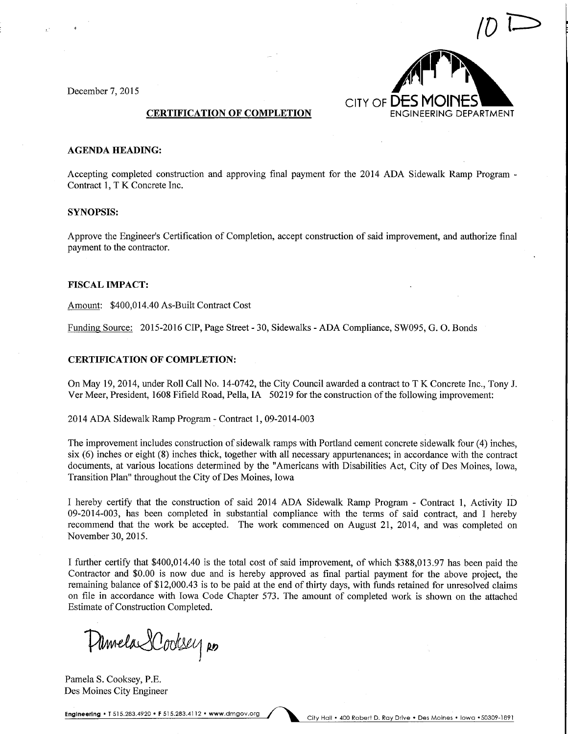

#### AGENDA HEADING:

Accepting completed construction and approving final payment for the 2014 ADA Sidewalk Ramp Program -Contract 1, T K Concrete Inc.

#### SYNOPSIS:

Approve the Engineer's Certification of Completion, accept construction of said improvement, and authorize final payment to the contractor.

#### FISCAL IMPACT:

Amount: \$400,014.40 As-Built Contract Cost

Funding Source: 2015-2016 CIP, Page Street - 30, Sidewalks - ADA Compliance, SW095, G. 0. Bonds

#### CERTIFICATION OF COMPLETION:

On May 19, 2014, under Roll Call No. 14-0742, the City Council awarded a contract to T K Concrete Inc., Tony J. Ver Meer, President, 1608 Fifield Road, Pella, IA 50219 for the construction of the following improvement:

2014 ADA Sidewalk Ramp Program - Contract 1, 09-2014-003

The improvement includes construction of sidewalk ramps with Portland cement concrete sidewalk four (4) inches, six (6) inches or eight (8) inches thick, together with all necessary appurtenances; in accordance with the contract documents, at various locations determined by the "Americans with Disabilities Act, City of Des Moines, Iowa, Transition Plan" throughout the City of Des Moines, Iowa

I hereby certify that the construction of said 2014 ADA Sidewalk Ramp Program - Contract 1, Activity ID 09-2014-003, has been completed in substantial compliance with the tenns of said contract, and I hereby recommend that the work be accepted. The work commenced on August 21, 2014, and was completed on November 30, 2015.

I further certify that \$400,014.40 is the total cost of said improvement, of which \$388,013.97 has been paid the Contractor and \$0.00 is now due and is hereby approved as final partial payment for the above project, the remaining balance of \$12,000.43 is to be paid at the end of thirty days, with funds retained for unresolved claims on file in accordance with Iowa Code Chapter 573. The amount of completed work is shown on the attached Estimate of Construction Completed.

Plimela SCodesey Ro

Pamela S. Cooksey, P.E. Des Moines City Engineer

Engineering • T 515.283.4920 • F 515.283.4112 • www.dmgov.org / City Hall • 400 Robert D. Ray Drive • Des Moines • Iowa • 50309-1891